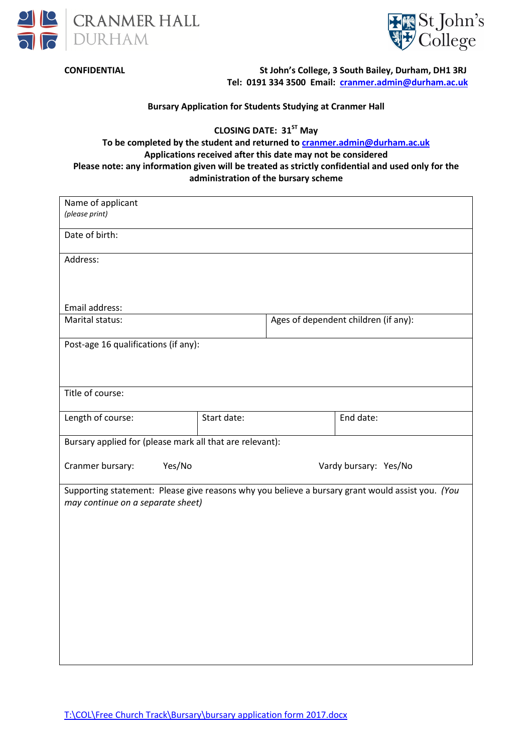



**CONFIDENTIAL St John's College, 3 South Bailey, Durham, DH1 3RJ Tel: 0191 334 3500 Email: cranmer.admin@durham.ac.uk**

**Bursary Application for Students Studying at Cranmer Hall** 

**CLOSING DATE: 31ST May** 

**To be completed by the student and returned to cranmer.admin@durham.ac.uk Applications received after this date may not be considered Please note: any information given will be treated as strictly confidential and used only for the administration of the bursary scheme** 

| Name of applicant                                                                                |                       |  |                                      |  |  |
|--------------------------------------------------------------------------------------------------|-----------------------|--|--------------------------------------|--|--|
| (please print)                                                                                   |                       |  |                                      |  |  |
| Date of birth:                                                                                   |                       |  |                                      |  |  |
| Address:                                                                                         |                       |  |                                      |  |  |
|                                                                                                  |                       |  |                                      |  |  |
|                                                                                                  |                       |  |                                      |  |  |
| Email address:                                                                                   |                       |  |                                      |  |  |
|                                                                                                  | Marital status:       |  | Ages of dependent children (if any): |  |  |
| Post-age 16 qualifications (if any):                                                             |                       |  |                                      |  |  |
|                                                                                                  |                       |  |                                      |  |  |
|                                                                                                  |                       |  |                                      |  |  |
| Title of course:                                                                                 |                       |  |                                      |  |  |
|                                                                                                  | Start date:           |  |                                      |  |  |
| Length of course:                                                                                |                       |  | End date:                            |  |  |
| Bursary applied for (please mark all that are relevant):                                         |                       |  |                                      |  |  |
| Cranmer bursary:<br>Yes/No                                                                       |                       |  |                                      |  |  |
|                                                                                                  | Vardy bursary: Yes/No |  |                                      |  |  |
| Supporting statement: Please give reasons why you believe a bursary grant would assist you. (You |                       |  |                                      |  |  |
| may continue on a separate sheet)                                                                |                       |  |                                      |  |  |
|                                                                                                  |                       |  |                                      |  |  |
|                                                                                                  |                       |  |                                      |  |  |
|                                                                                                  |                       |  |                                      |  |  |
|                                                                                                  |                       |  |                                      |  |  |
|                                                                                                  |                       |  |                                      |  |  |
|                                                                                                  |                       |  |                                      |  |  |
|                                                                                                  |                       |  |                                      |  |  |
|                                                                                                  |                       |  |                                      |  |  |
|                                                                                                  |                       |  |                                      |  |  |
|                                                                                                  |                       |  |                                      |  |  |